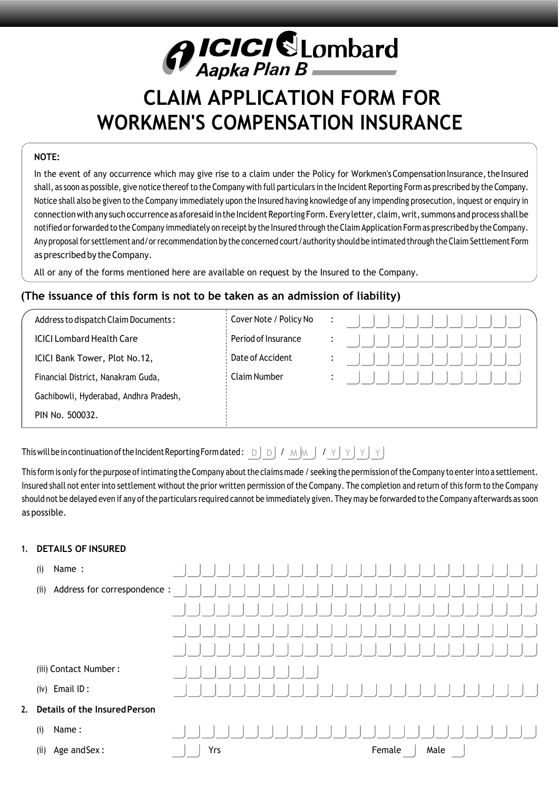# *A ICICI SLombard*<br>Aapka Plan B

# **CLAIM APPLICATION FORM FOR WORKMEN'S COMPENSATION INSURANCE**

# **NOTE:**

In the event of any occurrence which may give rise to a claim under the Policy for Workmen's Compensation Insurance, the Insured shall, as soon as possible, give notice thereof to the Company with full particulars in the Incident Reporting Form as prescribed by the Company. Notice shall also be given to the Company immediately upon the Insured having knowledge of any impending prosecution, inquest or enquiry in connection with any such occurrence as aforesaid in the Incident Reporting Form. Every letter, claim, writ, summons and process shall be notified or forwarded to the Company immediately on receipt by the Insured through the Claim Application Form as prescribed by the Company. Any proposal for settlement and/or recommendation by the concerned court/authority should be intimated through the Claim Settlement Form as prescribed by the Company.

All or any of the forms mentioned here are available on request by the Insured to the Company.

# **(The issuance of this form is not to be taken as an admission of liability)**

| Address to dispatch Claim Documents:   | Cover Note / Policy No | $\ddot{\phantom{1}}$ |  |
|----------------------------------------|------------------------|----------------------|--|
| <b>ICICI Lombard Health Care</b>       | Period of Insurance    |                      |  |
| ICICI Bank Tower, Plot No.12,          | Date of Accident       |                      |  |
| Financial District, Nanakram Guda,     | Claim Number           | $\bullet$            |  |
| Gachibowli, Hyderabad, Andhra Pradesh, |                        |                      |  |
| PIN No. 500032.                        |                        |                      |  |

This will be in continuation of the Incident Reporting Form dated :  $\Box$   $\Box$   $\Box$   $\Box$   $\Box$   $\Box$   $\Diamond$   $\Box$   $\Diamond$   $\Box$   $\lor$   $\Box$   $\lor$   $\Box$   $\lor$ 

This form is only for the purpose of intimating the Company about the claims made / seeking the permission of the Company to enter into a settlement. Insured shall not enter into settlement without the prior written permission ofthe Company. The completion and return of this form to the Company should not be delayed even if any of the particulars required cannot be immediately given. They may be forwarded to the Company afterwards as soon as possible.

## **1. DETAILS OF INSURED**

| (i)  | Name :                           |     |  |  |  |        |  |      |  |  |
|------|----------------------------------|-----|--|--|--|--------|--|------|--|--|
| (i)  | Address for correspondence :     |     |  |  |  |        |  |      |  |  |
|      |                                  |     |  |  |  |        |  |      |  |  |
|      |                                  |     |  |  |  |        |  |      |  |  |
|      |                                  |     |  |  |  |        |  |      |  |  |
|      | (iii) Contact Number:            |     |  |  |  |        |  |      |  |  |
|      | $(iv)$ Email ID:                 |     |  |  |  |        |  |      |  |  |
|      | 2. Details of the Insured Person |     |  |  |  |        |  |      |  |  |
| (i)  | Name:                            |     |  |  |  |        |  |      |  |  |
| (ii) | Age and Sex:                     | Yrs |  |  |  | Female |  | Male |  |  |
|      |                                  |     |  |  |  |        |  |      |  |  |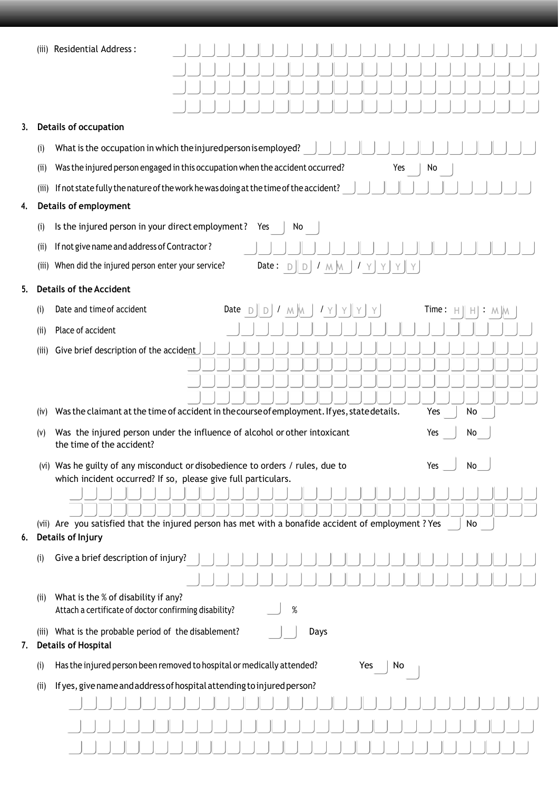|  | (iii) Residential Address: |  |
|--|----------------------------|--|
|--|----------------------------|--|

|    | (iii) | Residential Address:                                                                                   |  |             |     |                                                              |      |     |   |     |   |       |                                      |    |  |  |
|----|-------|--------------------------------------------------------------------------------------------------------|--|-------------|-----|--------------------------------------------------------------|------|-----|---|-----|---|-------|--------------------------------------|----|--|--|
|    |       |                                                                                                        |  |             |     |                                                              |      |     |   |     |   |       |                                      |    |  |  |
|    |       |                                                                                                        |  |             |     |                                                              |      |     |   |     |   |       |                                      |    |  |  |
|    |       |                                                                                                        |  |             |     |                                                              |      |     |   |     |   |       |                                      |    |  |  |
| 3. |       | <b>Details of occupation</b>                                                                           |  |             |     |                                                              |      |     |   |     |   |       |                                      |    |  |  |
|    | (i)   | What is the occupation in which the injured person is employed?                                        |  |             |     |                                                              |      |     |   |     |   |       |                                      |    |  |  |
|    | (i)   | Was the injured person engaged in this occupation when the accident occurred?                          |  |             |     |                                                              |      |     |   | Yes |   | No    |                                      |    |  |  |
|    | (iii) | If not state fully the nature of the work he was doing at the time of the accident?                    |  |             |     |                                                              |      |     |   |     |   |       |                                      |    |  |  |
| 4. |       | <b>Details of employment</b>                                                                           |  |             |     |                                                              |      |     |   |     |   |       |                                      |    |  |  |
|    | (i)   | Is the injured person in your direct employment?                                                       |  |             | Yes | No                                                           |      |     |   |     |   |       |                                      |    |  |  |
|    | (ii)  | If not give name and address of Contractor?                                                            |  |             |     |                                                              |      |     |   |     |   |       |                                      |    |  |  |
|    |       | (iii) When did the injured person enter your service?                                                  |  |             |     | Date: $D \parallel D \parallel I \mod J \quad Y \parallel Y$ |      |     |   | Y   | Y |       |                                      |    |  |  |
| 5. |       | <b>Details of the Accident</b>                                                                         |  |             |     |                                                              |      |     |   |     |   |       |                                      |    |  |  |
|    | (i)   | Date and time of accident                                                                              |  | Date $\Box$ | D   | $M$ $M$ $Y$                                                  |      | YJY | Y |     |   | Time: |                                      |    |  |  |
|    | (ii)  | Place of accident                                                                                      |  |             |     |                                                              |      |     |   |     |   |       |                                      |    |  |  |
|    | (iii) | Give brief description of the accident                                                                 |  |             |     |                                                              |      |     |   |     |   |       |                                      |    |  |  |
|    |       |                                                                                                        |  |             |     |                                                              |      |     |   |     |   |       |                                      |    |  |  |
|    |       |                                                                                                        |  |             |     |                                                              |      |     |   |     |   |       |                                      |    |  |  |
|    |       |                                                                                                        |  |             |     |                                                              |      |     |   |     |   |       |                                      |    |  |  |
|    | (iv)  | Was the claimant at the time of accident in the course of employment. If yes, state details.           |  |             |     |                                                              |      |     |   |     |   | Yes   |                                      | No |  |  |
|    | (V)   | Was the injured person under the influence of alcohol or other intoxicant<br>the time of the accident? |  |             |     |                                                              |      |     |   |     |   | Yes   |                                      | No |  |  |
|    |       | (vi) Was he guilty of any misconduct or disobedience to orders / rules, due to                         |  |             |     |                                                              |      |     |   |     |   | Yes   | <b>The Contract of Contract Inc.</b> | No |  |  |
|    |       | which incident occurred? If so, please give full particulars.                                          |  |             |     |                                                              |      |     |   |     |   |       |                                      |    |  |  |
|    |       |                                                                                                        |  |             |     |                                                              |      |     |   |     |   |       |                                      |    |  |  |
|    |       | (vii) Are you satisfied that the injured person has met with a bonafide accident of employment ? Yes   |  |             |     |                                                              |      |     |   |     |   |       |                                      | No |  |  |
| 6. |       | Details of Injury                                                                                      |  |             |     |                                                              |      |     |   |     |   |       |                                      |    |  |  |
|    | (i)   | Give a brief description of injury?                                                                    |  |             |     |                                                              |      |     |   |     |   |       |                                      |    |  |  |
|    |       |                                                                                                        |  |             |     |                                                              |      |     |   |     |   |       |                                      |    |  |  |
|    | (ii)  | What is the % of disability if any?<br>Attach a certificate of doctor confirming disability?           |  |             |     | $\%$                                                         |      |     |   |     |   |       |                                      |    |  |  |
| 7. |       | (iii) What is the probable period of the disablement?<br><b>Details of Hospital</b>                    |  |             |     |                                                              | Days |     |   |     |   |       |                                      |    |  |  |
|    | (i)   | Has the injured person been removed to hospital or medically attended?                                 |  |             |     |                                                              |      | Yes |   | No  |   |       |                                      |    |  |  |
|    | (ii)  | If yes, give name and address of hospital attending to injured person?                                 |  |             |     |                                                              |      |     |   |     |   |       |                                      |    |  |  |
|    |       |                                                                                                        |  |             |     |                                                              |      |     |   |     |   |       |                                      |    |  |  |
|    |       |                                                                                                        |  |             |     |                                                              |      |     |   |     |   |       |                                      |    |  |  |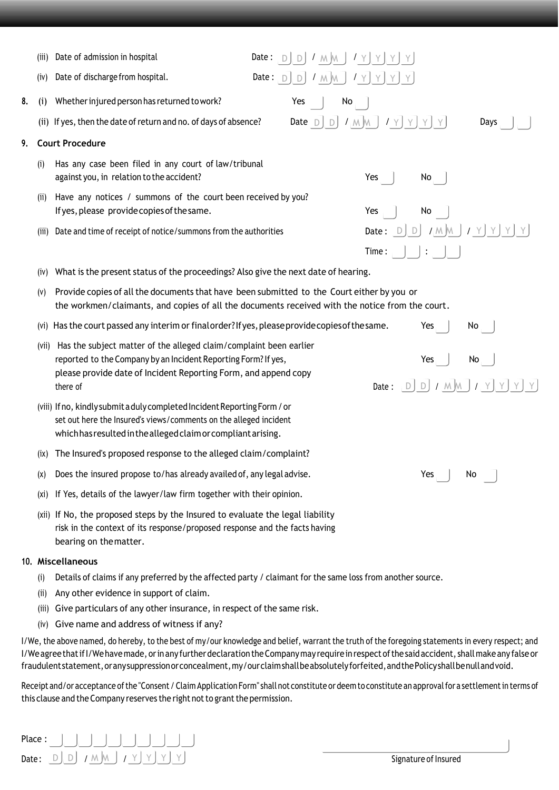|    | (iii) | Date of admission in hospital                                                                                                                                                                                             |  |     | Date: $D$ $D$ $J$ $M$ $M$ $J$ $Y$ $Y$ $Y$ $Y$ |    |     |             |                                                                                                     |                                             |
|----|-------|---------------------------------------------------------------------------------------------------------------------------------------------------------------------------------------------------------------------------|--|-----|-----------------------------------------------|----|-----|-------------|-----------------------------------------------------------------------------------------------------|---------------------------------------------|
|    | (iv)  | Date of discharge from hospital.                                                                                                                                                                                          |  |     | Date: $D$ , $D$ , $I$ , $M$ , $J$ , $Y$       |    |     | $Y$ $Y$ $Y$ |                                                                                                     |                                             |
| 8. | (i)   | Whether injured person has returned to work?                                                                                                                                                                              |  | Yes |                                               | No |     |             |                                                                                                     |                                             |
|    |       | (ii) If yes, then the date of return and no. of days of absence?                                                                                                                                                          |  |     |                                               |    |     |             | Date $D$ , $D$ , $I$ , $M$ , $M$ , $I$ , $Y$ , $Y$ , $Y$ , $Y$                                      | Days                                        |
| 9. |       | <b>Court Procedure</b>                                                                                                                                                                                                    |  |     |                                               |    |     |             |                                                                                                     |                                             |
|    | (i)   | Has any case been filed in any court of law/tribunal<br>against you, in relation to the accident?                                                                                                                         |  |     |                                               |    |     | Yes $ $     | No                                                                                                  |                                             |
|    | (i)   | Have any notices / summons of the court been received by you?<br>If yes, please provide copies of the same.                                                                                                               |  |     |                                               |    | Yes |             | No                                                                                                  |                                             |
|    | (iii) | Date and time of receipt of notice/summons from the authorities                                                                                                                                                           |  |     |                                               |    |     |             |                                                                                                     | Date: $D/D$ / $M/M$ / $Y$ $Y$ $Y$           |
|    |       |                                                                                                                                                                                                                           |  |     |                                               |    |     |             | Time: $\left  \begin{array}{c} \end{array} \right $ : $\left  \begin{array}{c} \end{array} \right $ |                                             |
|    | (IV)  | What is the present status of the proceedings? Also give the next date of hearing.                                                                                                                                        |  |     |                                               |    |     |             |                                                                                                     |                                             |
|    | (V)   | Provide copies of all the documents that have been submitted to the Court either by you or<br>the workmen/claimants, and copies of all the documents received with the notice from the court.                             |  |     |                                               |    |     |             |                                                                                                     |                                             |
|    |       | (vi) Has the court passed any interim or final order? If yes, please provide copies of the same.                                                                                                                          |  |     |                                               |    |     |             | Yes                                                                                                 | No                                          |
|    |       | (vii) Has the subject matter of the alleged claim/complaint been earlier<br>reported to the Company by an Incident Reporting Form? If yes,<br>please provide date of Incident Reporting Form, and append copy<br>there of |  |     |                                               |    |     |             | Yes $\vert$                                                                                         | No<br>Date: $D/D$ / $M/M$ / $Y$ $Y$ $Y$ $Y$ |
|    |       | (viii) If no, kindly submit a duly completed Incident Reporting Form / or<br>set out here the Insured's views/comments on the alleged incident<br>which has resulted in the alleged claim or compliant arising.           |  |     |                                               |    |     |             |                                                                                                     |                                             |
|    | (ix)  | The Insured's proposed response to the alleged claim/complaint?                                                                                                                                                           |  |     |                                               |    |     |             |                                                                                                     |                                             |
|    | (X)   | Does the insured propose to/has already availed of, any legal advise.                                                                                                                                                     |  |     |                                               |    |     |             | Yes                                                                                                 | No                                          |
|    | (X1)  | If Yes, details of the lawyer/law firm together with their opinion.                                                                                                                                                       |  |     |                                               |    |     |             |                                                                                                     |                                             |
|    |       | (xii) If No, the proposed steps by the Insured to evaluate the legal liability<br>risk in the context of its response/proposed response and the facts having<br>bearing on the matter.                                    |  |     |                                               |    |     |             |                                                                                                     |                                             |
|    |       | 10. Miscellaneous                                                                                                                                                                                                         |  |     |                                               |    |     |             |                                                                                                     |                                             |
|    | (i)   | Details of claims if any preferred by the affected party / claimant for the same loss from another source.                                                                                                                |  |     |                                               |    |     |             |                                                                                                     |                                             |
|    |       |                                                                                                                                                                                                                           |  |     |                                               |    |     |             |                                                                                                     |                                             |

- (ii) Any other evidence in support of claim.
- (iii) Give particulars of any other insurance, in respect of the same risk.
- (iv) Give name and address of witness if any?

I/We, the above named, do hereby, to the best of my/our knowledge and belief, warrant the truth of the foregoing statements in every respect; and I/We agree that if I/We have made, or in any further declaration the Company may require in respect of the said accident, shall make any false or fraudulentstatement, or any suppression or concealment, my/ourclaimshallbeabsolutely forfeited, and the Policy shall benullandvoid.

Receipt and/or acceptance of the "Consent / Claim Application Form" shall not constitute or deem to constitute an approval for a settlement in terms of this clause and the Company reserves the right not to grant the permission.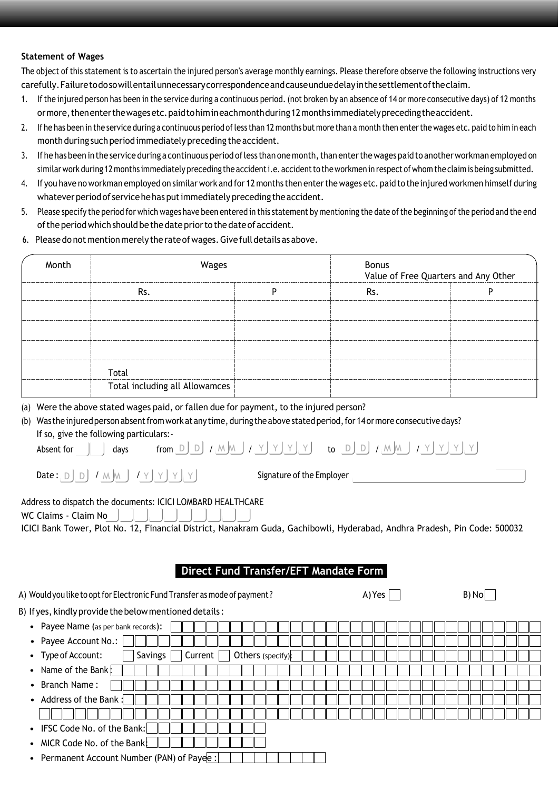#### **Statement of Wages**

The object of this statement is to ascertain the injured person's average monthly earnings. Please therefore observe the following instructions very carefully.Failuretodosowillentailunnecessarycorrespondenceandcauseunduedelayinthesettlementoftheclaim.

- 1. Ifthe injured person has been in the service during a continuous period. (not broken by an absence of 14 or more consecutive days) of 12 months ormore, thenenter the wages etc. paid to him ineach month during 12 months immediately preceding the accident.
- 2. If he has been in the service during a continuous period ofless than 12 months but more than a month then enterthe wages etc. paid to him in each month during such period immediately preceding the accident.
- 3. If he has been in the service during a continuous period of less than one month, than enter the wages paid to another workman employed on similar work during 12 months immediately preceding the accidenti.e. accident to the workmen in respect of whom the claim is being submitted.
- 4. If you have no workman employed on similar work and for 12 months then enterthe wages etc. paid to the injured workmen himself during whatever period of service he has put immediately preceding the accident.
- 5. Please specify the period for which wages have been entered in this statement by mentioning the date ofthe beginning ofthe period and the end of the period which should be the date prior to the date of accident.
- 6. Pleasedo not mentionmerely the rateofwages.Givefulldetails asabove.

| Month | Wages                          | <b>Bonus</b><br>Value of Free Quarters and Any Other |  |  |  |  |
|-------|--------------------------------|------------------------------------------------------|--|--|--|--|
|       |                                |                                                      |  |  |  |  |
|       |                                |                                                      |  |  |  |  |
|       |                                |                                                      |  |  |  |  |
|       |                                |                                                      |  |  |  |  |
|       | Total                          |                                                      |  |  |  |  |
|       | Total including all Allowamces |                                                      |  |  |  |  |

(a) Were the above stated wages paid, or fallen due for payment, to the injured person?

### (b) Was the injured person absent from work at any time, during the above stated period, for 14 or more consecutive days? If so, give the following particulars:-

| Absent<br>tor | davs | $-$<br>from<br>$1 - 1$ | I٨.<br>ΛΛ |  |  | to | -<br>$\overline{\phantom{a}}$<br>$\sim$ | <b>IA</b><br>MΛ |  |  |  |  |
|---------------|------|------------------------|-----------|--|--|----|-----------------------------------------|-----------------|--|--|--|--|
|---------------|------|------------------------|-----------|--|--|----|-----------------------------------------|-----------------|--|--|--|--|

Date :  $\textsf{D}$   $\textsf{D}$   $\textsf{D}$   $\textsf{D}$   $\textsf{M}$   $\textsf{M}$   $\textsf{M}$   $\textsf{N}$   $\textsf{N}$   $\textsf{N}$   $\textsf{N}$   $\textsf{N}$   $\textsf{N}$   $\textsf{N}$   $\textsf{N}$   $\textsf{N}$   $\textsf{N}$   $\textsf{N}$   $\textsf{N}$   $\textsf{N}$   $\textsf{N}$   $\textsf{N}$   $\textsf{N}$   $\textsf{N}$ 

 $B)$   $N_0$ 

Address to dispatch the documents: ICICI LOMBARD HEALTHCARE

WC Claims - Claim No

ICICI Bank Tower, Plot No. 12, Financial District, Nanakram Guda, Gachibowli, Hyderabad, Andhra Pradesh, Pin Code: 500032

# **Direct Fund Transfer/EFT Mandate Form**

|  | A) Would you like to opt for Electronic Fund Transfer as mode of payment ? | A) Yes |
|--|----------------------------------------------------------------------------|--------|
|  |                                                                            |        |

|                                                                   | $-1$ |
|-------------------------------------------------------------------|------|
| B) If yes, kindly provide the below mentioned details:            |      |
| • Payee Name (as per bank records):                               |      |
| • Payee Account No.:                                              |      |
| Savings  <br>Current  <br>Others (specify):<br>• Type of Account: |      |
| • Name of the Bank                                                |      |
| • Branch Name:                                                    |      |
| • Address of the Bank:                                            |      |
|                                                                   |      |
| • IFSC Code No. of the Bank:                                      |      |
| • MICR Code No. of the Bank:                                      |      |
| • Permanent Account Number (PAN) of Payee :                       |      |